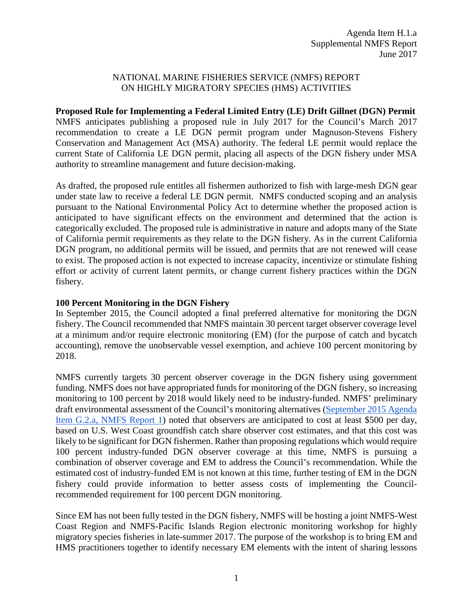## NATIONAL MARINE FISHERIES SERVICE (NMFS) REPORT ON HIGHLY MIGRATORY SPECIES (HMS) ACTIVITIES

**Proposed Rule for Implementing a Federal Limited Entry (LE) Drift Gillnet (DGN) Permit** NMFS anticipates publishing a proposed rule in July 2017 for the Council's March 2017 recommendation to create a LE DGN permit program under Magnuson-Stevens Fishery Conservation and Management Act (MSA) authority. The federal LE permit would replace the current State of California LE DGN permit, placing all aspects of the DGN fishery under MSA authority to streamline management and future decision-making.

As drafted, the proposed rule entitles all fishermen authorized to fish with large-mesh DGN gear under state law to receive a federal LE DGN permit. NMFS conducted scoping and an analysis pursuant to the National Environmental Policy Act to determine whether the proposed action is anticipated to have significant effects on the environment and determined that the action is categorically excluded. The proposed rule is administrative in nature and adopts many of the State of California permit requirements as they relate to the DGN fishery. As in the current California DGN program, no additional permits will be issued, and permits that are not renewed will cease to exist. The proposed action is not expected to increase capacity, incentivize or stimulate fishing effort or activity of current latent permits, or change current fishery practices within the DGN fishery.

## **100 Percent Monitoring in the DGN Fishery**

In September 2015, the Council adopted a final preferred alternative for monitoring the DGN fishery. The Council recommended that NMFS maintain 30 percent target observer coverage level at a minimum and/or require electronic monitoring (EM) (for the purpose of catch and bycatch accounting), remove the unobservable vessel exemption, and achieve 100 percent monitoring by 2018.

NMFS currently targets 30 percent observer coverage in the DGN fishery using government funding. NMFS does not have appropriated funds for monitoring of the DGN fishery, so increasing monitoring to 100 percent by 2018 would likely need to be industry-funded. NMFS' preliminary draft environmental assessment of the Council's monitoring alternatives [\(September 2015 Agenda](http://www.pcouncil.org/wp-content/uploads/2015/08/G2a_NMFS_Rpt1_DGN_draftEA_and_metrics_SEPT2015BB.pdf)  [Item G.2.a, NMFS Report 1\)](http://www.pcouncil.org/wp-content/uploads/2015/08/G2a_NMFS_Rpt1_DGN_draftEA_and_metrics_SEPT2015BB.pdf) noted that observers are anticipated to cost at least \$500 per day, based on U.S. West Coast groundfish catch share observer cost estimates, and that this cost was likely to be significant for DGN fishermen. Rather than proposing regulations which would require 100 percent industry-funded DGN observer coverage at this time, NMFS is pursuing a combination of observer coverage and EM to address the Council's recommendation. While the estimated cost of industry-funded EM is not known at this time, further testing of EM in the DGN fishery could provide information to better assess costs of implementing the Councilrecommended requirement for 100 percent DGN monitoring.

Since EM has not been fully tested in the DGN fishery, NMFS will be hosting a joint NMFS-West Coast Region and NMFS-Pacific Islands Region electronic monitoring workshop for highly migratory species fisheries in late-summer 2017. The purpose of the workshop is to bring EM and HMS practitioners together to identify necessary EM elements with the intent of sharing lessons